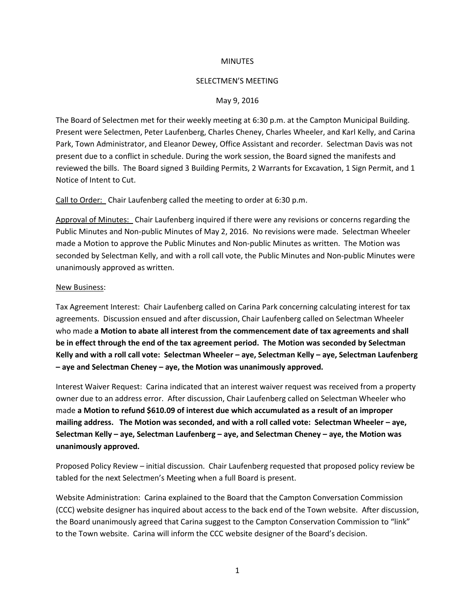## **MINUTES**

## SELECTMEN'S MEETING

## May 9, 2016

The Board of Selectmen met for their weekly meeting at 6:30 p.m. at the Campton Municipal Building. Present were Selectmen, Peter Laufenberg, Charles Cheney, Charles Wheeler, and Karl Kelly, and Carina Park, Town Administrator, and Eleanor Dewey, Office Assistant and recorder. Selectman Davis was not present due to a conflict in schedule. During the work session, the Board signed the manifests and reviewed the bills. The Board signed 3 Building Permits, 2 Warrants for Excavation, 1 Sign Permit, and 1 Notice of Intent to Cut.

Call to Order: Chair Laufenberg called the meeting to order at 6:30 p.m.

Approval of Minutes: Chair Laufenberg inquired if there were any revisions or concerns regarding the Public Minutes and Non-public Minutes of May 2, 2016. No revisions were made. Selectman Wheeler made a Motion to approve the Public Minutes and Non-public Minutes as written. The Motion was seconded by Selectman Kelly, and with a roll call vote, the Public Minutes and Non-public Minutes were unanimously approved as written.

## New Business:

Tax Agreement Interest: Chair Laufenberg called on Carina Park concerning calculating interest for tax agreements. Discussion ensued and after discussion, Chair Laufenberg called on Selectman Wheeler who made **a Motion to abate all interest from the commencement date of tax agreements and shall be in effect through the end of the tax agreement period. The Motion was seconded by Selectman Kelly and with a roll call vote: Selectman Wheeler – aye, Selectman Kelly – aye, Selectman Laufenberg – aye and Selectman Cheney – aye, the Motion was unanimously approved.**

Interest Waiver Request: Carina indicated that an interest waiver request was received from a property owner due to an address error. After discussion, Chair Laufenberg called on Selectman Wheeler who made **a Motion to refund \$610.09 of interest due which accumulated as a result of an improper mailing address. The Motion was seconded, and with a roll called vote: Selectman Wheeler – aye, Selectman Kelly – aye, Selectman Laufenberg – aye, and Selectman Cheney – aye, the Motion was unanimously approved.**

Proposed Policy Review – initial discussion. Chair Laufenberg requested that proposed policy review be tabled for the next Selectmen's Meeting when a full Board is present.

Website Administration: Carina explained to the Board that the Campton Conversation Commission (CCC) website designer has inquired about access to the back end of the Town website. After discussion, the Board unanimously agreed that Carina suggest to the Campton Conservation Commission to "link" to the Town website. Carina will inform the CCC website designer of the Board's decision.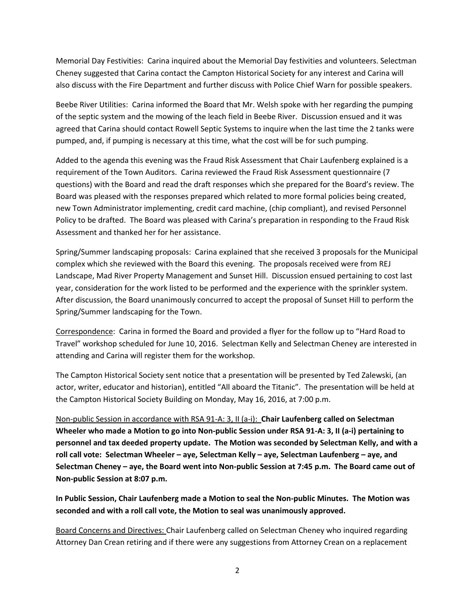Memorial Day Festivities: Carina inquired about the Memorial Day festivities and volunteers. Selectman Cheney suggested that Carina contact the Campton Historical Society for any interest and Carina will also discuss with the Fire Department and further discuss with Police Chief Warn for possible speakers.

Beebe River Utilities: Carina informed the Board that Mr. Welsh spoke with her regarding the pumping of the septic system and the mowing of the leach field in Beebe River. Discussion ensued and it was agreed that Carina should contact Rowell Septic Systems to inquire when the last time the 2 tanks were pumped, and, if pumping is necessary at this time, what the cost will be for such pumping.

Added to the agenda this evening was the Fraud Risk Assessment that Chair Laufenberg explained is a requirement of the Town Auditors. Carina reviewed the Fraud Risk Assessment questionnaire (7 questions) with the Board and read the draft responses which she prepared for the Board's review. The Board was pleased with the responses prepared which related to more formal policies being created, new Town Administrator implementing, credit card machine, (chip compliant), and revised Personnel Policy to be drafted. The Board was pleased with Carina's preparation in responding to the Fraud Risk Assessment and thanked her for her assistance.

Spring/Summer landscaping proposals: Carina explained that she received 3 proposals for the Municipal complex which she reviewed with the Board this evening. The proposals received were from REJ Landscape, Mad River Property Management and Sunset Hill. Discussion ensued pertaining to cost last year, consideration for the work listed to be performed and the experience with the sprinkler system. After discussion, the Board unanimously concurred to accept the proposal of Sunset Hill to perform the Spring/Summer landscaping for the Town.

Correspondence: Carina in formed the Board and provided a flyer for the follow up to "Hard Road to Travel" workshop scheduled for June 10, 2016. Selectman Kelly and Selectman Cheney are interested in attending and Carina will register them for the workshop.

The Campton Historical Society sent notice that a presentation will be presented by Ted Zalewski, (an actor, writer, educator and historian), entitled "All aboard the Titanic". The presentation will be held at the Campton Historical Society Building on Monday, May 16, 2016, at 7:00 p.m.

Non-public Session in accordance with RSA 91-A: 3, II (a-i): **Chair Laufenberg called on Selectman Wheeler who made a Motion to go into Non-public Session under RSA 91-A: 3, II (a-i) pertaining to personnel and tax deeded property update. The Motion was seconded by Selectman Kelly, and with a roll call vote: Selectman Wheeler – aye, Selectman Kelly – aye, Selectman Laufenberg – aye, and Selectman Cheney – aye, the Board went into Non-public Session at 7:45 p.m. The Board came out of Non-public Session at 8:07 p.m.** 

**In Public Session, Chair Laufenberg made a Motion to seal the Non-public Minutes. The Motion was seconded and with a roll call vote, the Motion to seal was unanimously approved.** 

Board Concerns and Directives: Chair Laufenberg called on Selectman Cheney who inquired regarding Attorney Dan Crean retiring and if there were any suggestions from Attorney Crean on a replacement